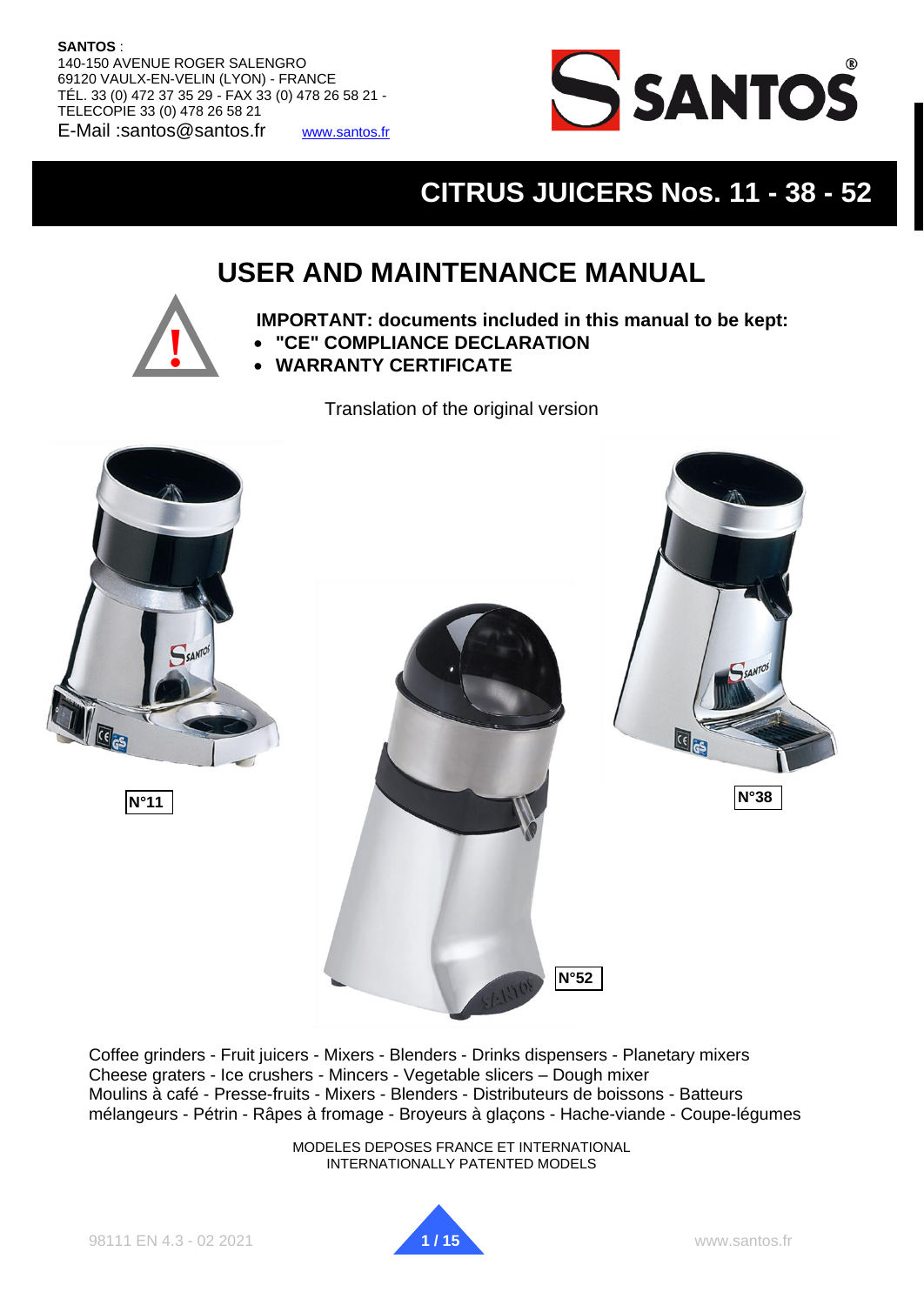#### **SANTOS** :

**SANTOS: Instruction and Maintenance Manual** 140-150 AVENUE ROGER SALENGRO 69120 VAULX-EN-VELIN (LYON) - FRANCE TÉL. 33 (0) 472 37 35 29 - FAX 33 (0) 478 26 58 21 - TELECOPIE 33 (0) 478 26 58 21 E-Mail :santos@santos.fr [www.santos.fr](http://www.santos.fr/)



# **CITRUS JUICERS Nos. 11 - 38 - 52**

# **USER AND MAINTENANCE MANUAL**



**IMPORTANT: documents included in this manual to be kept:**

- **"CE" COMPLIANCE DECLARATION**
- **WARRANTY CERTIFICATE**

Translation of the original version



Coffee grinders - Fruit juicers - Mixers - Blenders - Drinks dispensers - Planetary mixers Cheese graters - Ice crushers - Mincers - Vegetable slicers – Dough mixer Moulins à café - Presse-fruits - Mixers - Blenders - Distributeurs de boissons - Batteurs mélangeurs - Pétrin - Râpes à fromage - Broyeurs à glaçons - Hache-viande - Coupe-légumes

> MODELES DEPOSES FRANCE ET INTERNATIONAL INTERNATIONALLY PATENTED MODELS

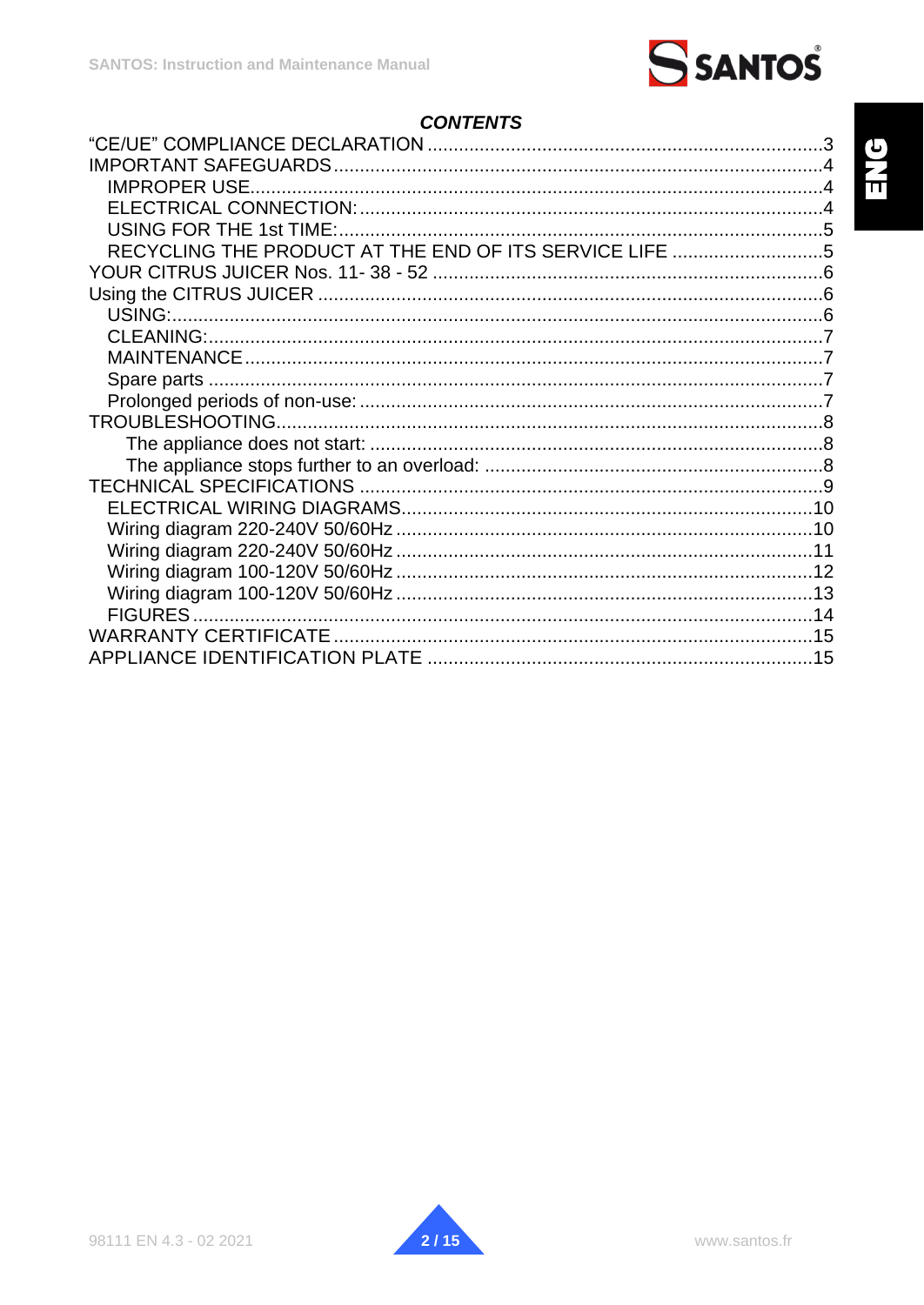# **CONTENTS**

| <b>IMPROPER USE.</b>                                   |  |
|--------------------------------------------------------|--|
|                                                        |  |
|                                                        |  |
| RECYCLING THE PRODUCT AT THE END OF ITS SERVICE LIFE 5 |  |
|                                                        |  |
|                                                        |  |
|                                                        |  |
|                                                        |  |
|                                                        |  |
|                                                        |  |
|                                                        |  |
|                                                        |  |
|                                                        |  |
|                                                        |  |
|                                                        |  |
|                                                        |  |
|                                                        |  |
|                                                        |  |
|                                                        |  |
|                                                        |  |
|                                                        |  |
|                                                        |  |
|                                                        |  |

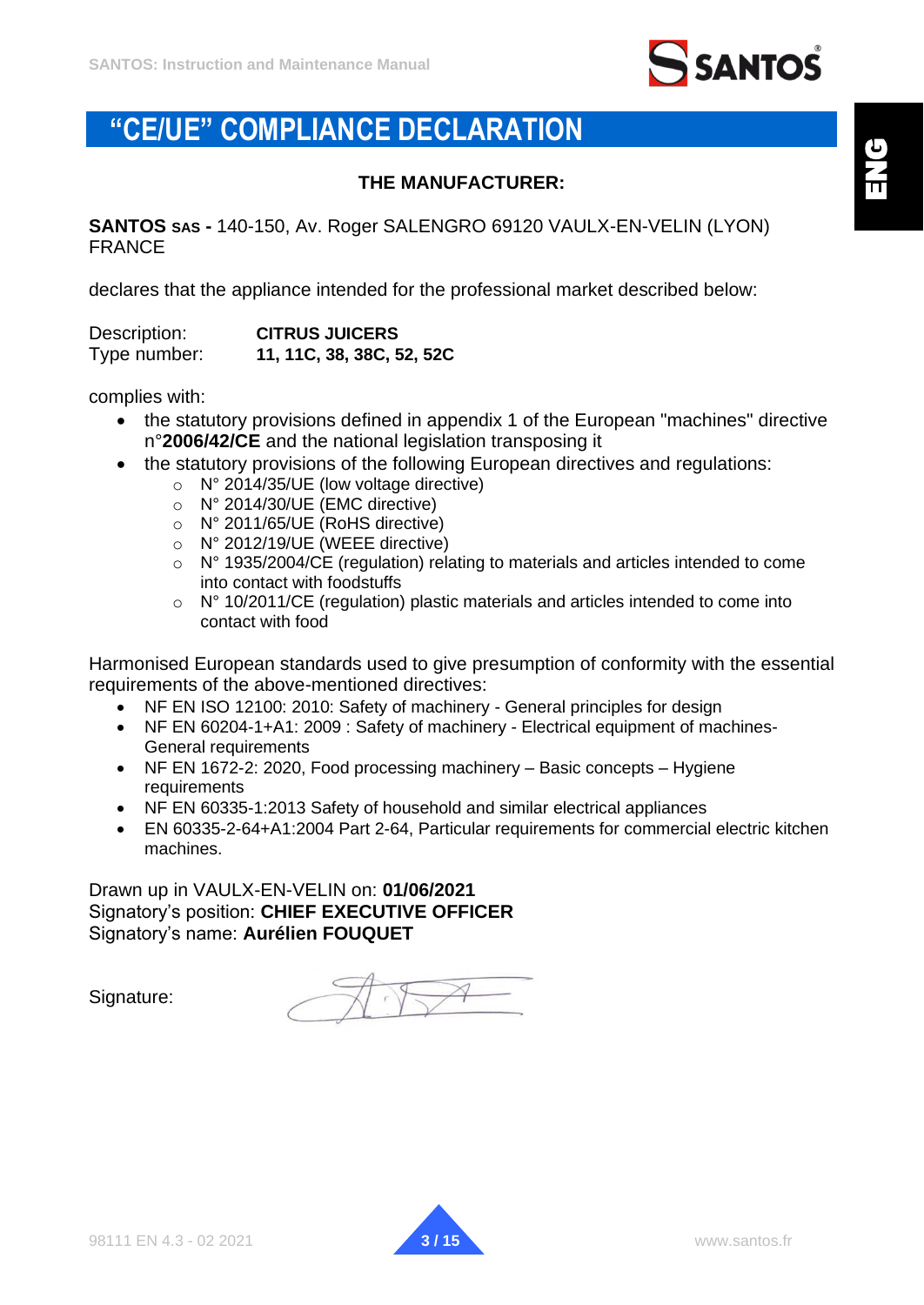

# <span id="page-2-0"></span>**"CE/UE" COMPLIANCE DECLARATION**

#### **THE MANUFACTURER:**

**SANTOS SAS -** 140-150, Av. Roger SALENGRO 69120 VAULX-EN-VELIN (LYON) FRANCE

declares that the appliance intended for the professional market described below:

| Description: | <b>CITRUS JUICERS</b>     |  |
|--------------|---------------------------|--|
| Type number: | 11, 11C, 38, 38C, 52, 52C |  |

complies with:

- the statutory provisions defined in appendix 1 of the European "machines" directive n°**2006/42/CE** and the national legislation transposing it
- the statutory provisions of the following European directives and regulations:
	- o N° 2014/35/UE (low voltage directive)
	- o N° 2014/30/UE (EMC directive)
	- o N° 2011/65/UE (RoHS directive)
	- o N° 2012/19/UE (WEEE directive)
	- o N° 1935/2004/CE (regulation) relating to materials and articles intended to come into contact with foodstuffs
	- o N° 10/2011/CE (regulation) plastic materials and articles intended to come into contact with food

Harmonised European standards used to give presumption of conformity with the essential requirements of the above-mentioned directives:

- NF EN ISO 12100: 2010: Safety of machinery General principles for design
- NF EN 60204-1+A1: 2009 : Safety of machinery Electrical equipment of machines-General requirements
- NF EN 1672-2: 2020, Food processing machinery Basic concepts Hygiene requirements
- NF EN 60335-1:2013 Safety of household and similar electrical appliances
- EN 60335-2-64+A1:2004 Part 2-64, Particular requirements for commercial electric kitchen machines.

Drawn up in VAULX-EN-VELIN on: **01/06/2021** Signatory's position: **CHIEF EXECUTIVE OFFICER** Signatory's name: **Aurélien FOUQUET**

Signature:

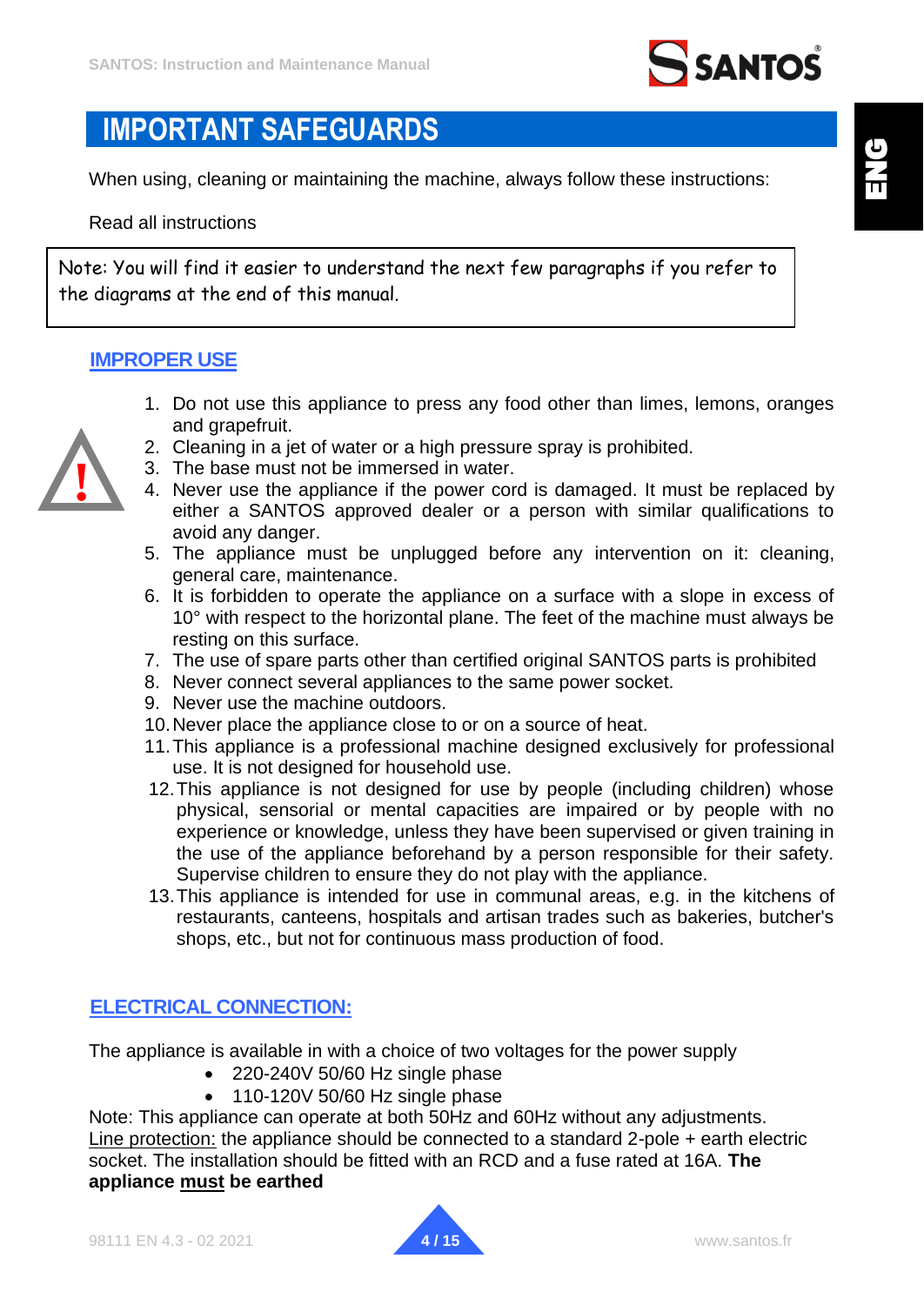

# <span id="page-3-0"></span>**IMPORTANT SAFEGUARDS**

When using, cleaning or maintaining the machine, always follow these instructions:

Read all instructions

Note: You will find it easier to understand the next few paragraphs if you refer to the diagrams at the end of this manual.

### <span id="page-3-1"></span>**IMPROPER USE**

**!**

- 1. Do not use this appliance to press any food other than limes, lemons, oranges and grapefruit.
- 2. Cleaning in a jet of water or a high pressure spray is prohibited.
- 3. The base must not be immersed in water.
- 4. Never use the appliance if the power cord is damaged. It must be replaced by either a SANTOS approved dealer or a person with similar qualifications to avoid any danger.
- 5. The appliance must be unplugged before any intervention on it: cleaning, general care, maintenance.
- 6. It is forbidden to operate the appliance on a surface with a slope in excess of 10° with respect to the horizontal plane. The feet of the machine must always be resting on this surface.
- 7. The use of spare parts other than certified original SANTOS parts is prohibited
- 8. Never connect several appliances to the same power socket.
- 9. Never use the machine outdoors.
- 10.Never place the appliance close to or on a source of heat.
- 11.This appliance is a professional machine designed exclusively for professional use. It is not designed for household use.
- 12.This appliance is not designed for use by people (including children) whose physical, sensorial or mental capacities are impaired or by people with no experience or knowledge, unless they have been supervised or given training in the use of the appliance beforehand by a person responsible for their safety. Supervise children to ensure they do not play with the appliance.
- 13.This appliance is intended for use in communal areas, e.g. in the kitchens of restaurants, canteens, hospitals and artisan trades such as bakeries, butcher's shops, etc., but not for continuous mass production of food.

### <span id="page-3-2"></span>**ELECTRICAL CONNECTION:**

The appliance is available in with a choice of two voltages for the power supply

- 220-240V 50/60 Hz single phase
- 110-120V 50/60 Hz single phase

Note: This appliance can operate at both 50Hz and 60Hz without any adjustments. Line protection: the appliance should be connected to a standard 2-pole + earth electric socket. The installation should be fitted with an RCD and a fuse rated at 16A. **The appliance must be earthed**

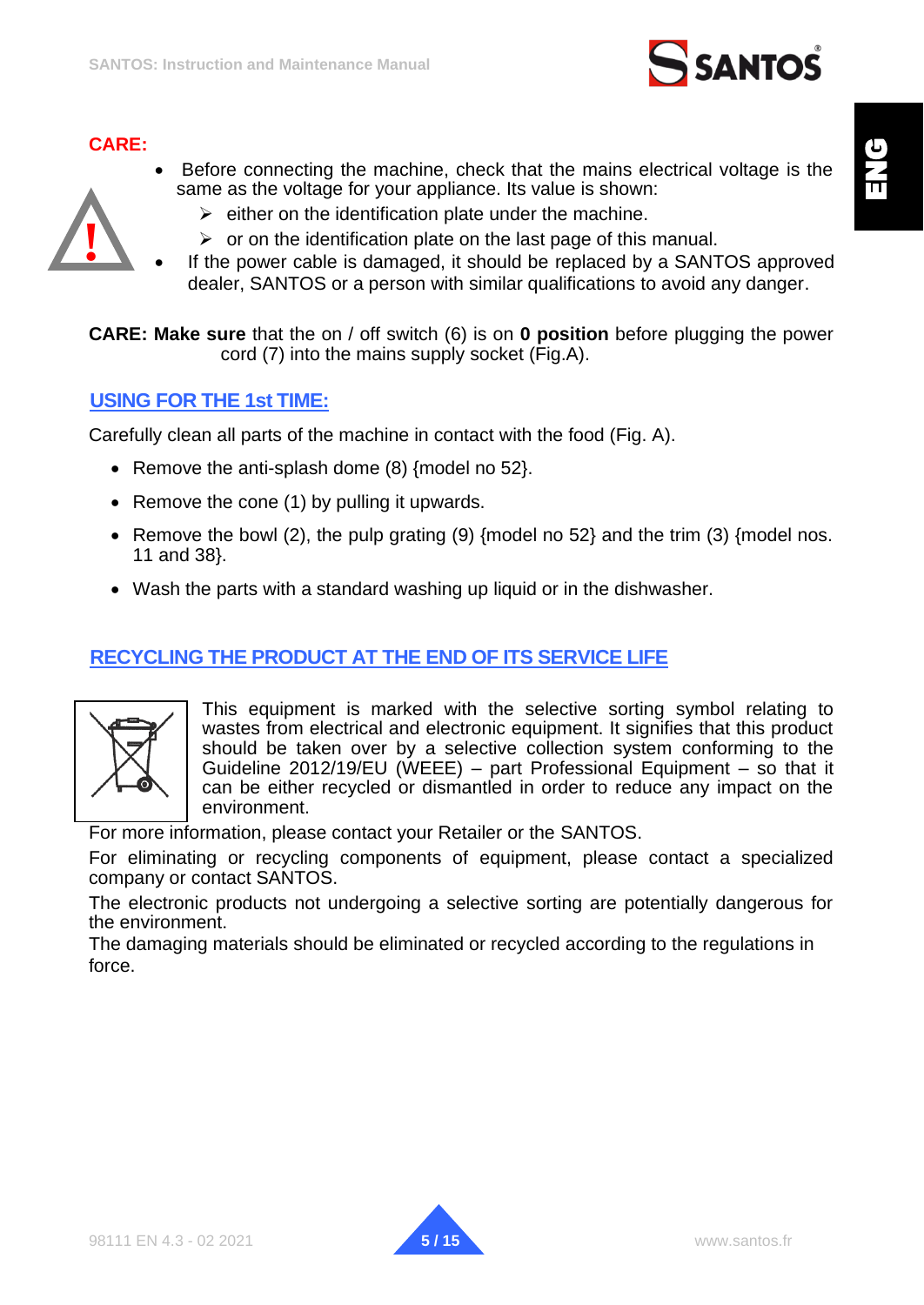

#### **CARE:**

**!**

- Before connecting the machine, check that the mains electrical voltage is the same as the voltage for your appliance. Its value is shown:
	- $\triangleright$  either on the identification plate under the machine.
	- $\triangleright$  or on the identification plate on the last page of this manual.
- If the power cable is damaged, it should be replaced by a SANTOS approved dealer, SANTOS or a person with similar qualifications to avoid any danger.

**CARE: Make sure** that the on / off switch (6) is on **0 position** before plugging the power cord (7) into the mains supply socket (Fig.A).

#### <span id="page-4-0"></span>**USING FOR THE 1st TIME:**

Carefully clean all parts of the machine in contact with the food (Fig. A).

- Remove the anti-splash dome (8) {model no 52}.
- Remove the cone (1) by pulling it upwards.
- Remove the bowl (2), the pulp grating (9) {model no 52} and the trim (3) {model nos. 11 and 38}.
- Wash the parts with a standard washing up liquid or in the dishwasher.

## <span id="page-4-1"></span>**RECYCLING THE PRODUCT AT THE END OF ITS SERVICE LIFE**



This equipment is marked with the selective sorting symbol relating to wastes from electrical and electronic equipment. It signifies that this product should be taken over by a selective collection system conforming to the Guideline 2012/19/EU (WEEE) – part Professional Equipment – so that it can be either recycled or dismantled in order to reduce any impact on the environment.

For more information, please contact your Retailer or the SANTOS.

For eliminating or recycling components of equipment, please contact a specialized company or contact SANTOS.

The electronic products not undergoing a selective sorting are potentially dangerous for the environment.

The damaging materials should be eliminated or recycled according to the regulations in force.

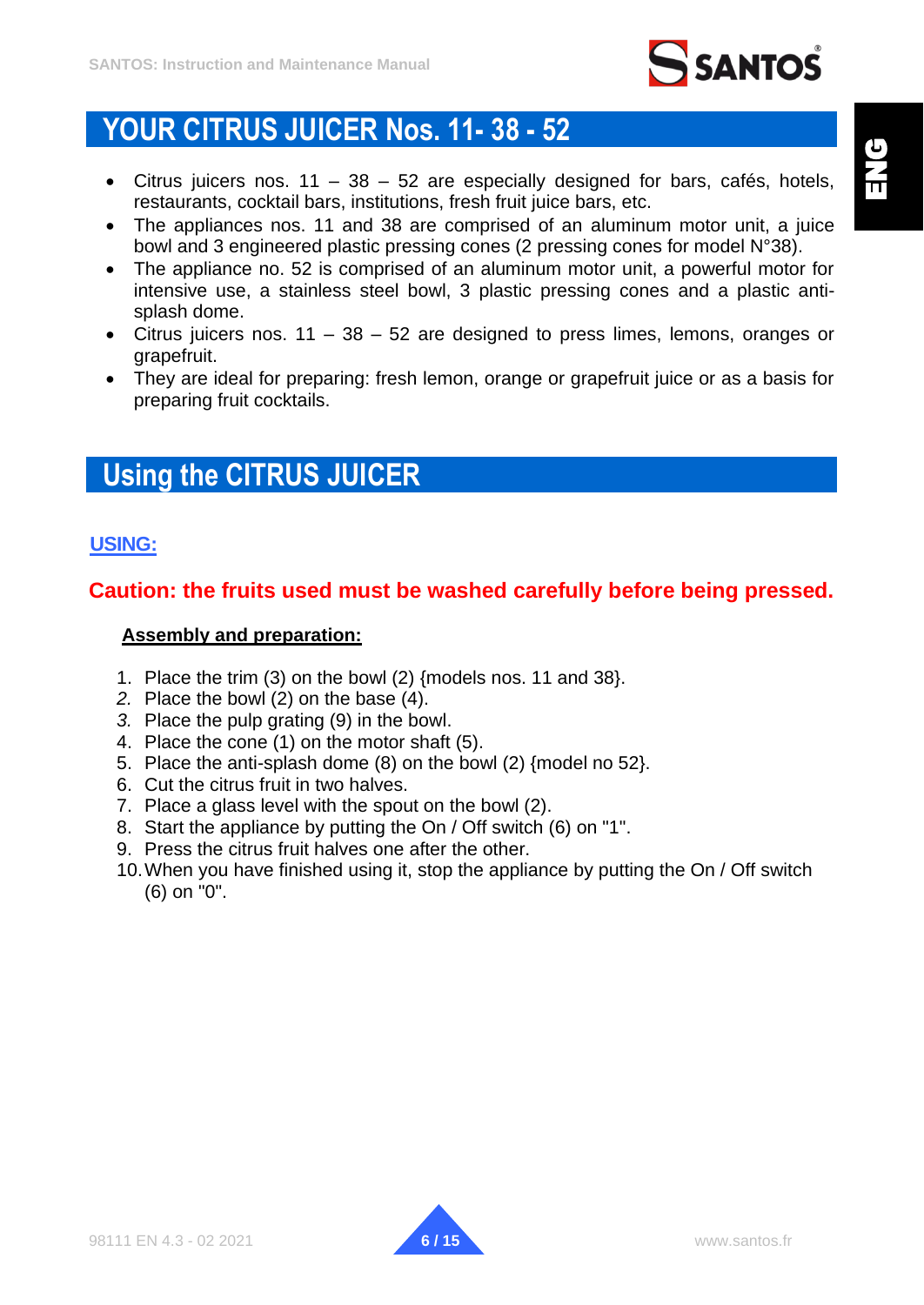

# <span id="page-5-0"></span>**YOUR CITRUS JUICER Nos. 11- 38 - 52**

- Citrus juicers nos.  $11 38 52$  are especially designed for bars, cafés, hotels, restaurants, cocktail bars, institutions, fresh fruit juice bars, etc.
- The appliances nos. 11 and 38 are comprised of an aluminum motor unit, a juice bowl and 3 engineered plastic pressing cones (2 pressing cones for model N°38).
- The appliance no. 52 is comprised of an aluminum motor unit, a powerful motor for intensive use, a stainless steel bowl, 3 plastic pressing cones and a plastic antisplash dome.
- Citrus juicers nos.  $11 38 52$  are designed to press limes, lemons, oranges or grapefruit.
- They are ideal for preparing: fresh lemon, orange or grapefruit juice or as a basis for preparing fruit cocktails.

# <span id="page-5-1"></span>**Using the CITRUS JUICER**

## <span id="page-5-2"></span>**USING:**

## **Caution: the fruits used must be washed carefully before being pressed.**

#### **Assembly and preparation:**

- 1. Place the trim (3) on the bowl (2) {models nos. 11 and 38}.
- *2.* Place the bowl (2) on the base (4).
- *3.* Place the pulp grating (9) in the bowl.
- 4. Place the cone (1) on the motor shaft (5).
- 5. Place the anti-splash dome (8) on the bowl (2) {model no 52}.
- 6. Cut the citrus fruit in two halves.
- 7. Place a glass level with the spout on the bowl (2).
- 8. Start the appliance by putting the On / Off switch (6) on "1".
- 9. Press the citrus fruit halves one after the other.
- 10.When you have finished using it, stop the appliance by putting the On / Off switch (6) on "0".

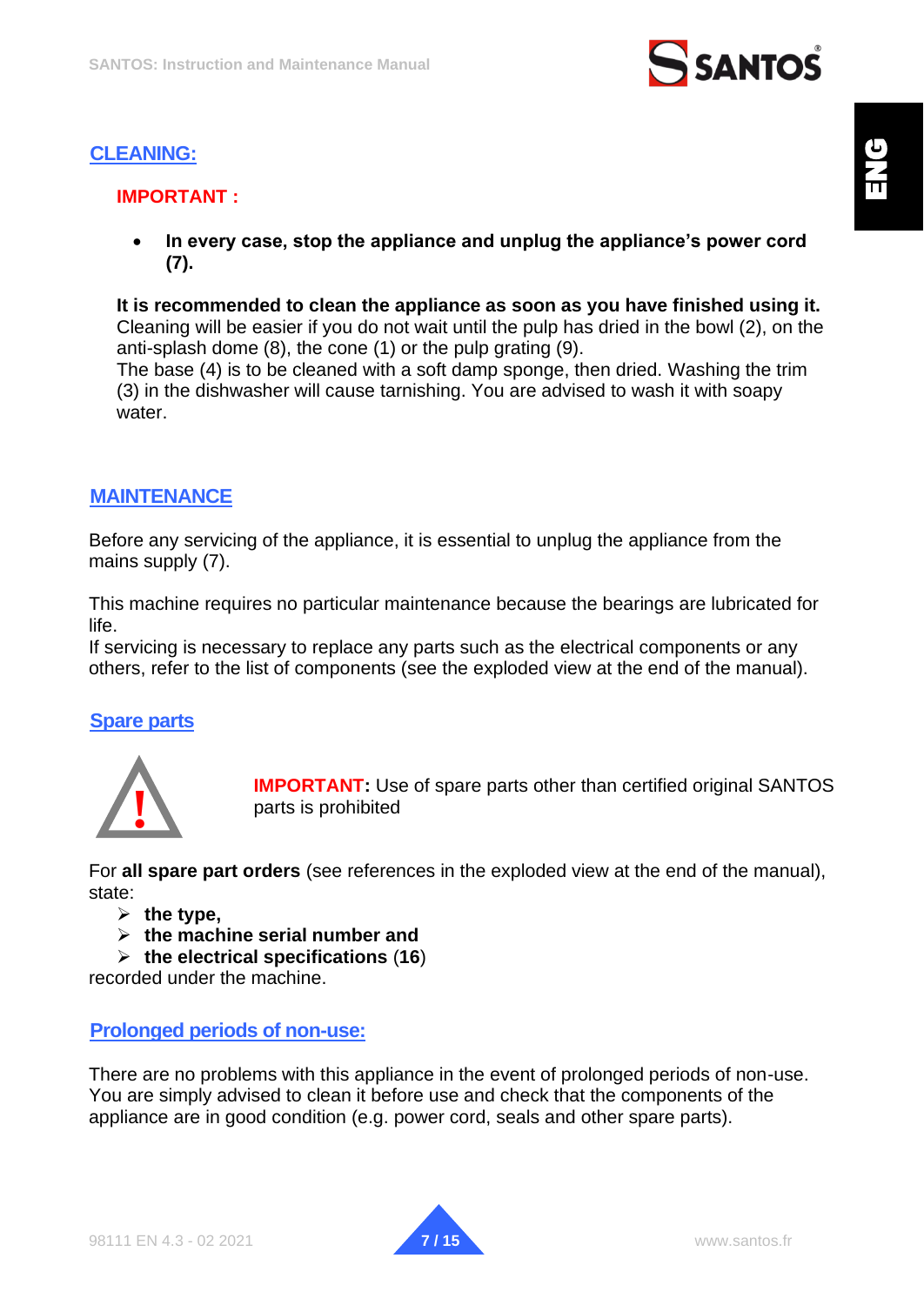

# <span id="page-6-0"></span>**CLEANING:**

## **IMPORTANT :**

• **In every case, stop the appliance and unplug the appliance's power cord (7).**

**It is recommended to clean the appliance as soon as you have finished using it.** Cleaning will be easier if you do not wait until the pulp has dried in the bowl (2), on the anti-splash dome (8), the cone (1) or the pulp grating (9).

The base (4) is to be cleaned with a soft damp sponge, then dried. Washing the trim (3) in the dishwasher will cause tarnishing. You are advised to wash it with soapy water.

## <span id="page-6-1"></span>**MAINTENANCE**

Before any servicing of the appliance, it is essential to unplug the appliance from the mains supply (7).

This machine requires no particular maintenance because the bearings are lubricated for life.

If servicing is necessary to replace any parts such as the electrical components or any others, refer to the list of components (see the exploded view at the end of the manual).

#### <span id="page-6-2"></span>**Spare parts**



**IMPORTANT:** Use of spare parts other than certified original SANTOS parts is prohibited

For **all spare part orders** (see references in the exploded view at the end of the manual), state:

➢ **the type,** 

- ➢ **the machine serial number and**
- ➢ **the electrical specifications** (**16**)

recorded under the machine.

#### <span id="page-6-3"></span>**Prolonged periods of non-use:**

There are no problems with this appliance in the event of prolonged periods of non-use. You are simply advised to clean it before use and check that the components of the appliance are in good condition (e.g. power cord, seals and other spare parts).

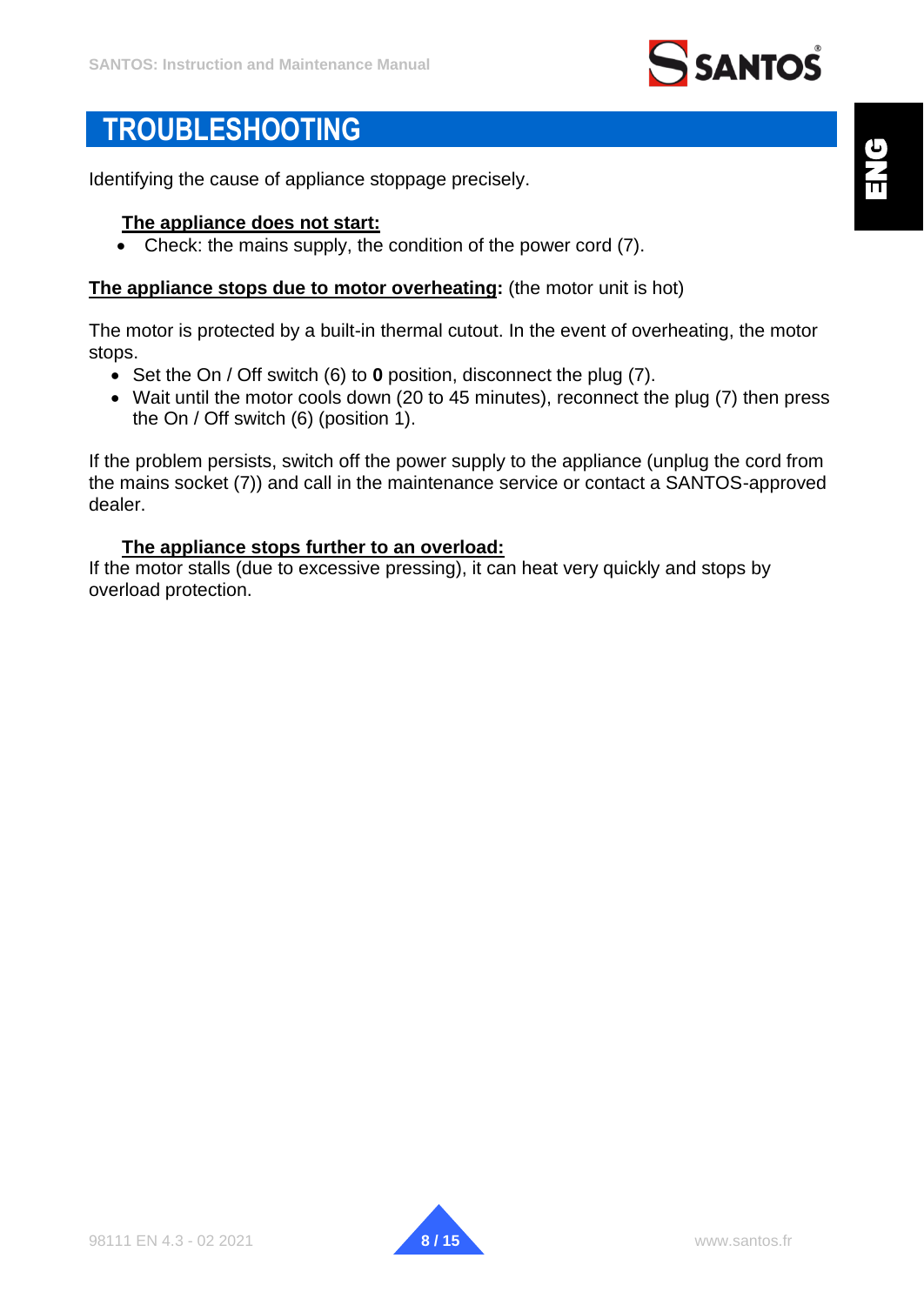

# <span id="page-7-0"></span>**TROUBLESHOOTING**

Identifying the cause of appliance stoppage precisely.

#### <span id="page-7-1"></span>**The appliance does not start:**

• Check: the mains supply, the condition of the power cord (7).

#### **The appliance stops due to motor overheating:** (the motor unit is hot)

The motor is protected by a built-in thermal cutout. In the event of overheating, the motor stops.

- Set the On / Off switch (6) to **0** position, disconnect the plug (7).
- Wait until the motor cools down (20 to 45 minutes), reconnect the plug (7) then press the On / Off switch (6) (position 1).

If the problem persists, switch off the power supply to the appliance (unplug the cord from the mains socket (7)) and call in the maintenance service or contact a SANTOS-approved dealer.

#### **The appliance stops further to an overload:**

<span id="page-7-2"></span>If the motor stalls (due to excessive pressing), it can heat very quickly and stops by overload protection.

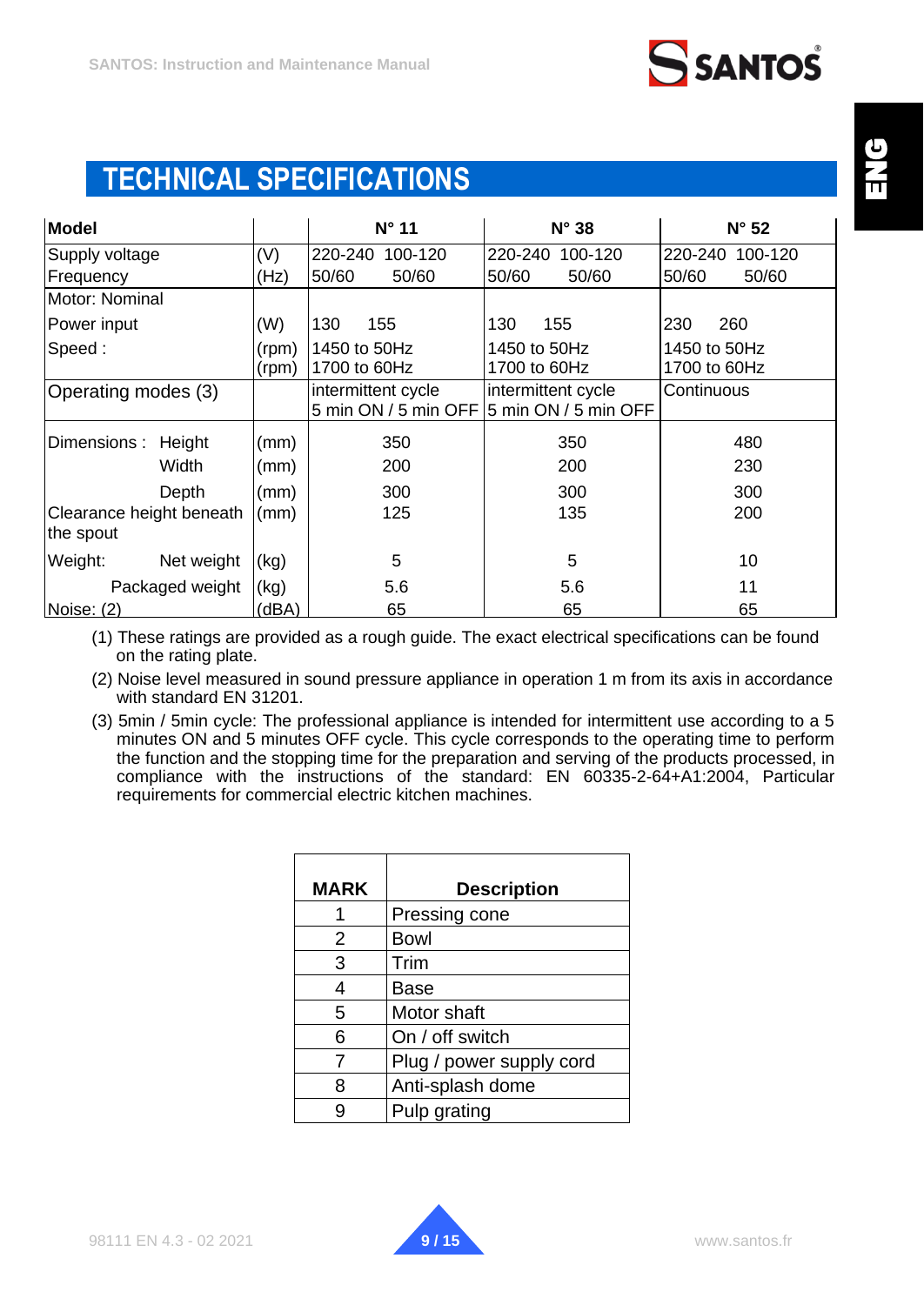# <span id="page-8-0"></span>**TECHNICAL SPECIFICATIONS**

| <b>Model</b>                          |                 |                | $N^{\circ}$ 11                             | $N^{\circ}$ 38                             | $N^{\circ}$ 52               |
|---------------------------------------|-----------------|----------------|--------------------------------------------|--------------------------------------------|------------------------------|
| Supply voltage                        |                 | (V)            | 220-240<br>100-120                         | 220-240<br>100-120                         | 220-240<br>100-120           |
| Frequency                             |                 | (Hz)           | 50/60<br>50/60                             | 50/60<br>50/60                             | 50/60<br>50/60               |
| Motor: Nominal                        |                 |                |                                            |                                            |                              |
| Power input                           |                 | (W)            | 130<br>155                                 | 130<br>155                                 | 230<br>260                   |
| Speed:                                |                 | (rpm)<br>(rpm) | 1450 to 50Hz<br>1700 to 60Hz               | 1450 to 50Hz<br>1700 to 60Hz               | 1450 to 50Hz<br>1700 to 60Hz |
| Operating modes (3)                   |                 |                | intermittent cycle<br>5 min ON / 5 min OFF | intermittent cycle<br>5 min ON / 5 min OFF | Continuous                   |
| Dimensions:                           | Height          | (mm)           | 350                                        | 350                                        | 480                          |
|                                       | Width           | (mm)           | 200                                        | 200                                        | 230                          |
|                                       | Depth           | (mm)           | 300                                        | 300                                        | 300                          |
| Clearance height beneath<br>the spout |                 | (mm)           | 125                                        | 135                                        | 200                          |
| Weight:                               | Net weight      | (kg)           | 5                                          | 5                                          | 10                           |
|                                       | Packaged weight | (kg)           | 5.6                                        | 5.6                                        | 11                           |
| Noise: (2)                            |                 | (dBA)          | 65                                         | 65                                         | 65                           |

(1) These ratings are provided as a rough guide. The exact electrical specifications can be found on the rating plate.

(2) Noise level measured in sound pressure appliance in operation 1 m from its axis in accordance with standard EN 31201.

(3) 5min / 5min cycle: The professional appliance is intended for intermittent use according to a 5 minutes ON and 5 minutes OFF cycle. This cycle corresponds to the operating time to perform the function and the stopping time for the preparation and serving of the products processed, in compliance with the instructions of the standard: EN 60335-2-64+A1:2004, Particular requirements for commercial electric kitchen machines.

| <b>MARK</b> | <b>Description</b>       |  |  |  |  |
|-------------|--------------------------|--|--|--|--|
|             | Pressing cone            |  |  |  |  |
| 2           | <b>Bowl</b>              |  |  |  |  |
| 3           | Trim                     |  |  |  |  |
| 4           | Base                     |  |  |  |  |
| 5           | Motor shaft              |  |  |  |  |
| 6           | On / off switch          |  |  |  |  |
| 7           | Plug / power supply cord |  |  |  |  |
| 8           | Anti-splash dome         |  |  |  |  |
|             | Pulp grating             |  |  |  |  |

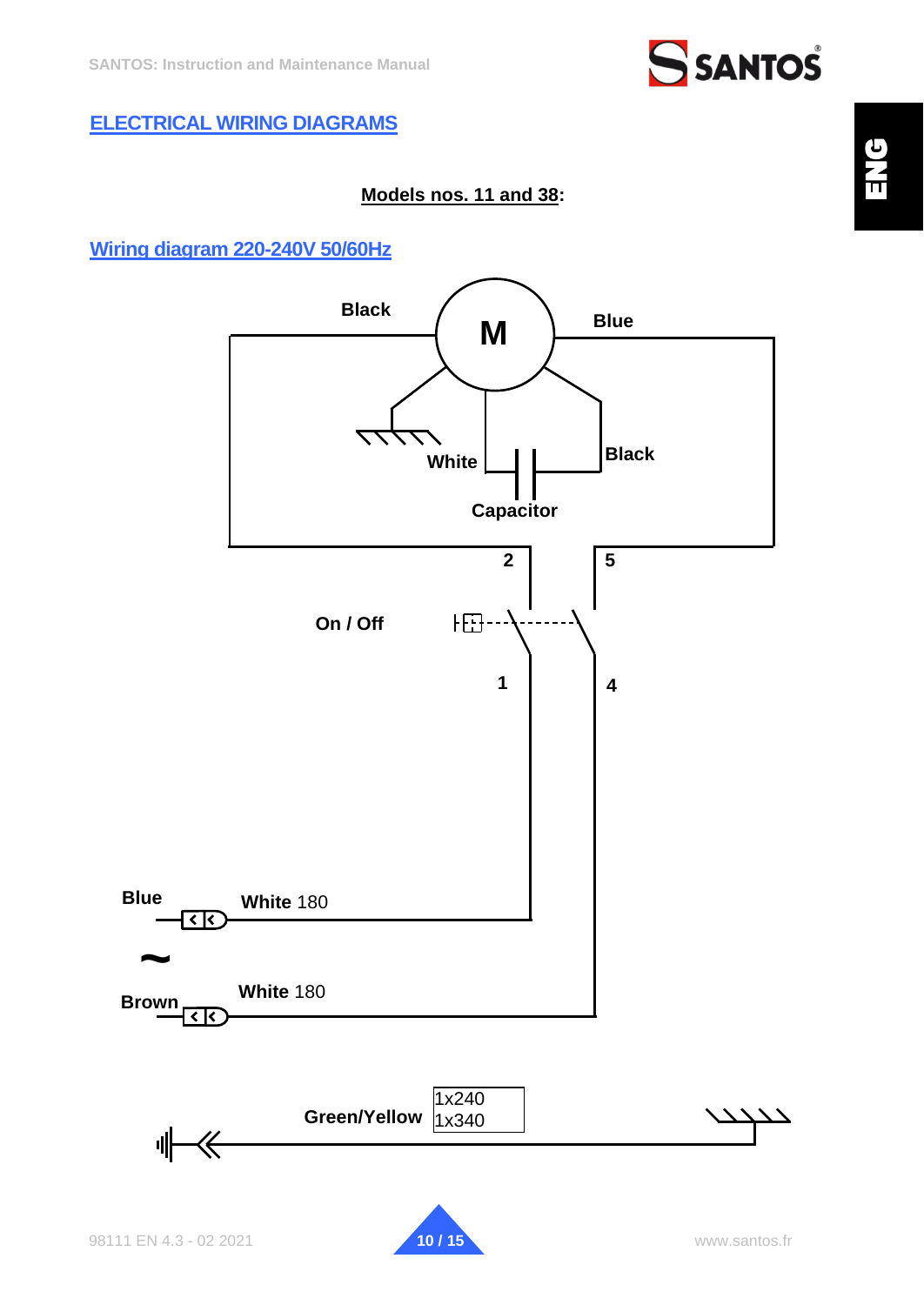# <span id="page-9-0"></span>**ELECTRICAL WIRING DIAGRAMS**

# **Models nos. 11 and 38:**

# <span id="page-9-1"></span>**Wiring diagram 220-240V 50/60Hz**

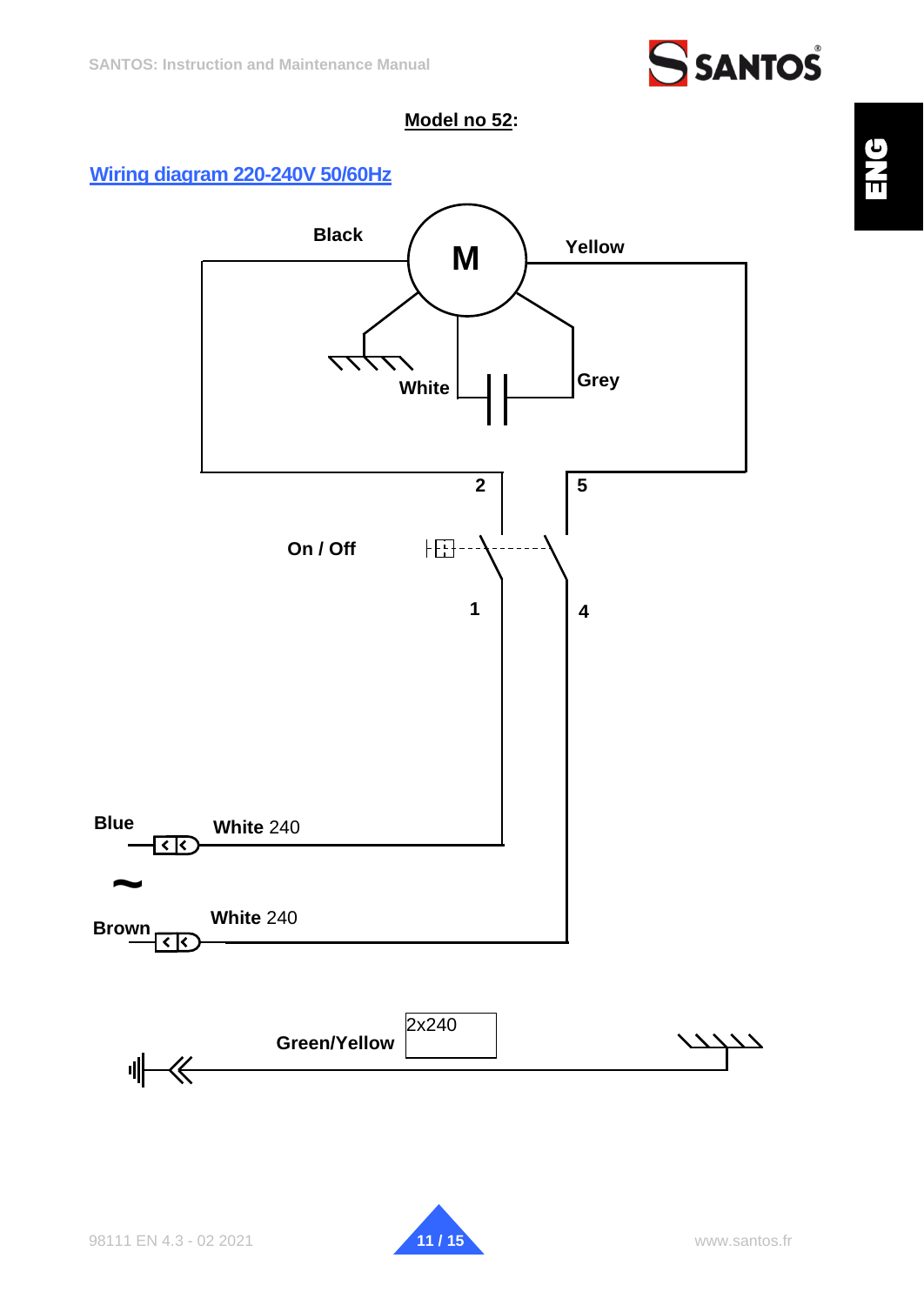

### **Model no 52:**

### <span id="page-10-0"></span>**Wiring diagram 220-240V 50/60Hz**



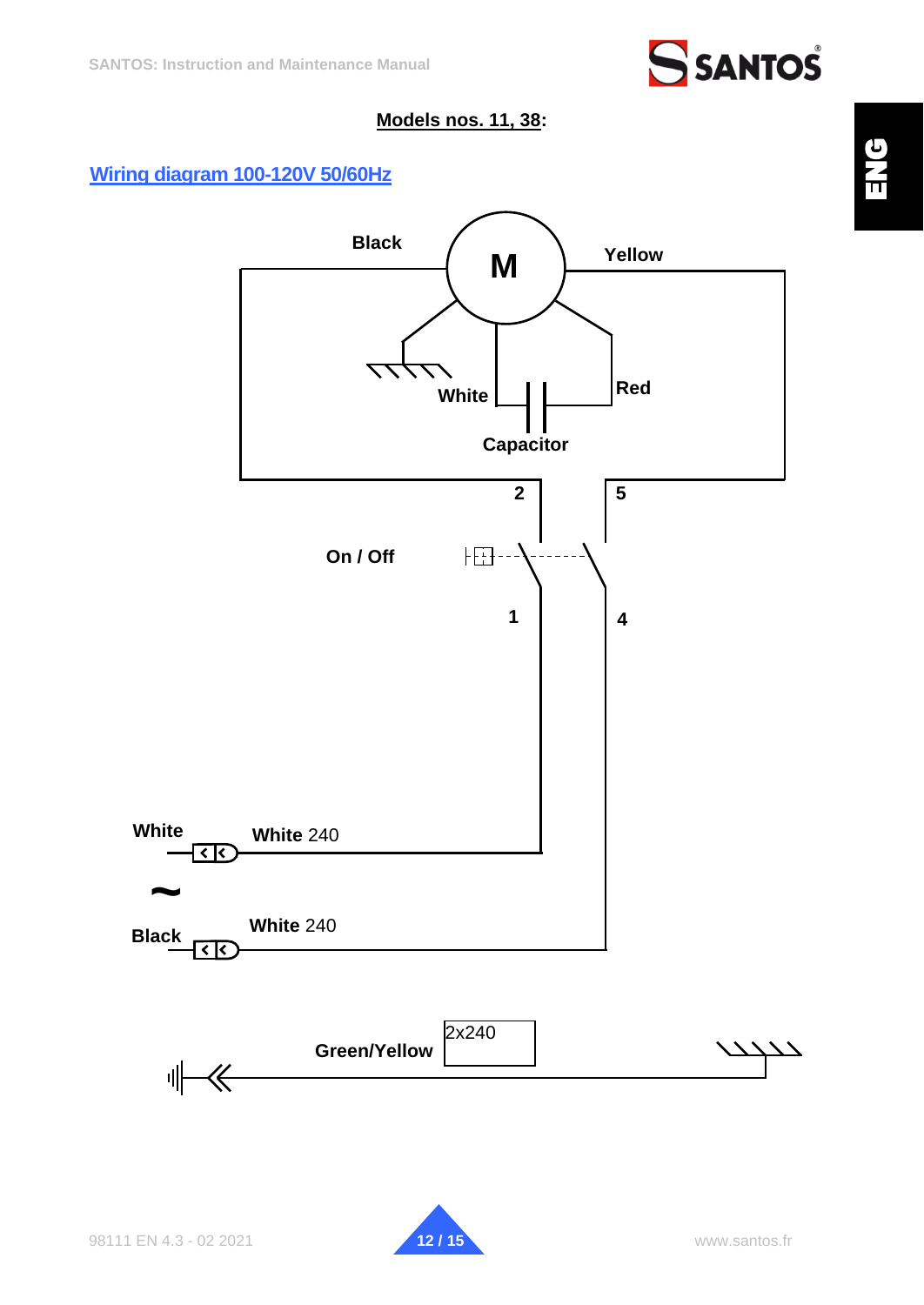

### **Models nos. 11, 38:**

## <span id="page-11-0"></span>**Wiring diagram 100-120V 50/60Hz**



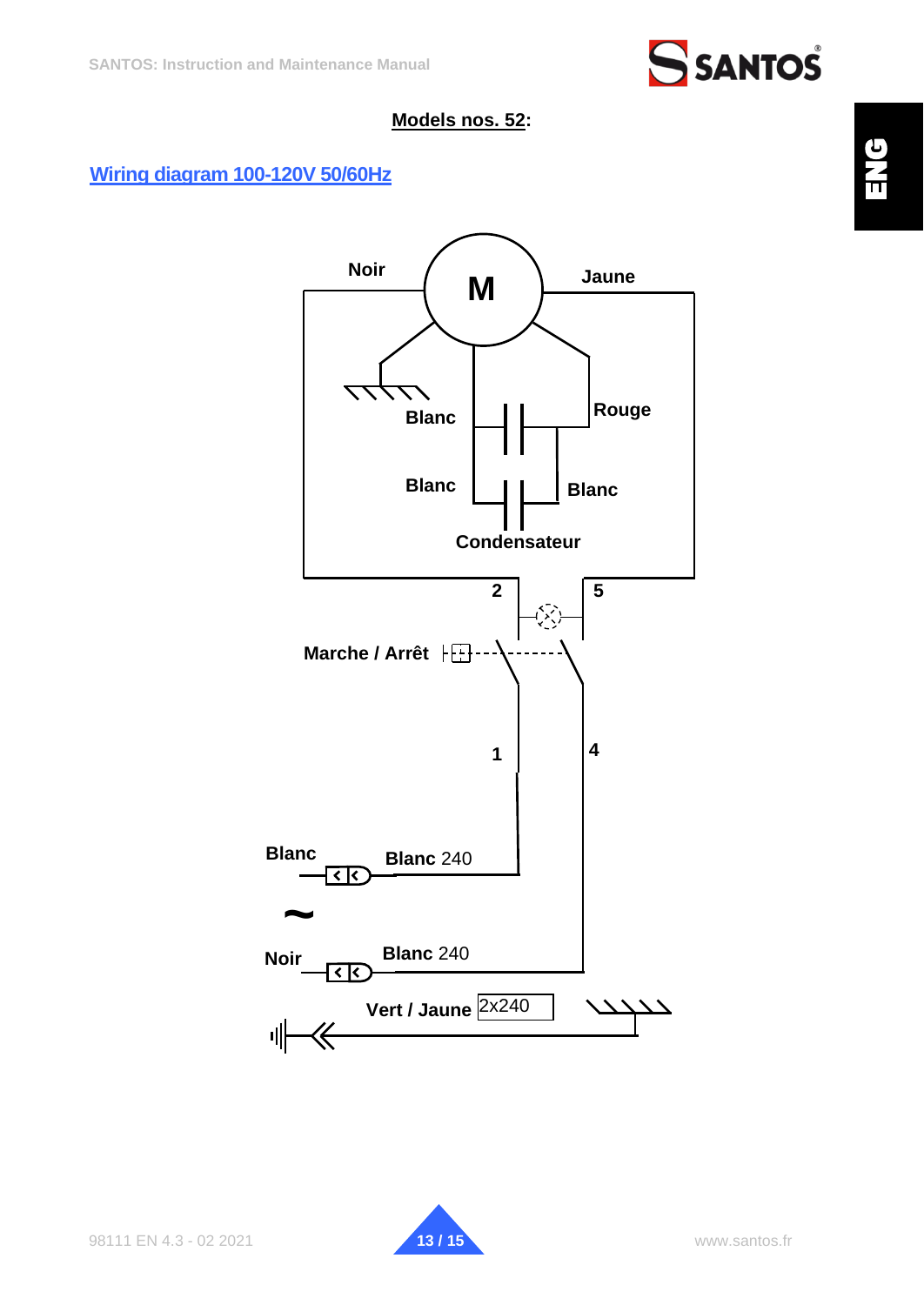

### **Models nos. 52:**

## <span id="page-12-0"></span>**Wiring diagram 100-120V 50/60Hz**



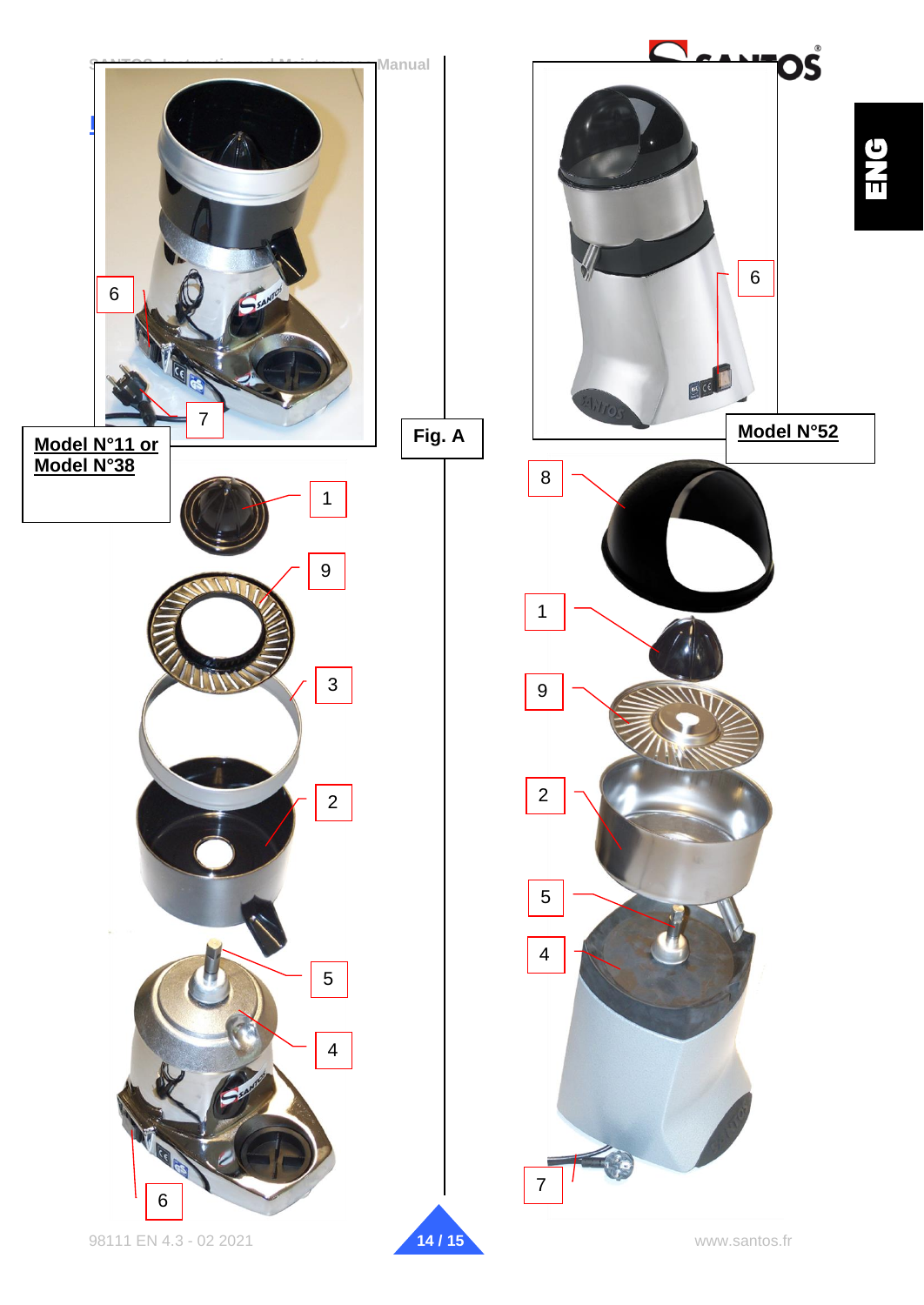<span id="page-13-0"></span>